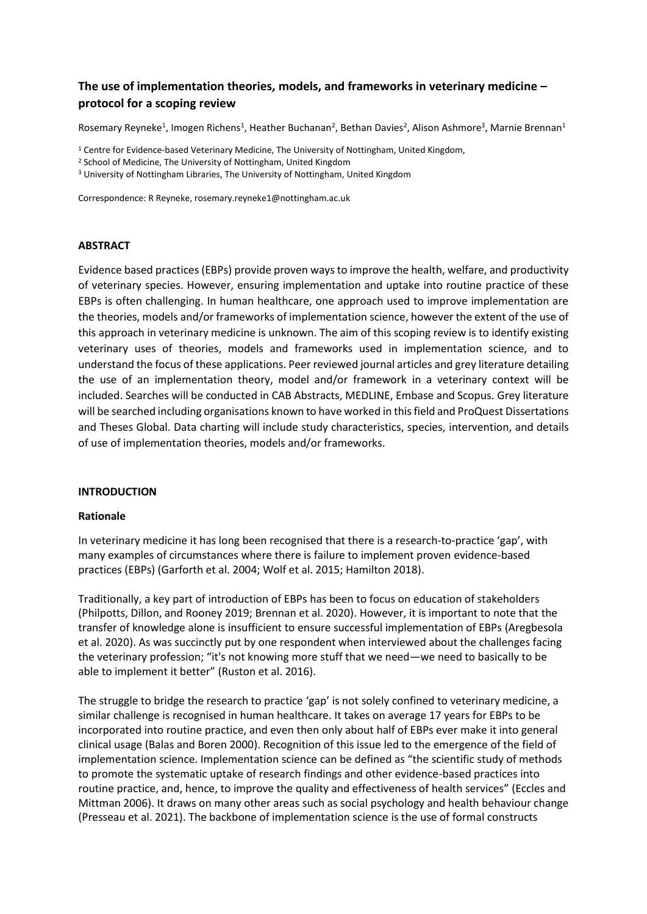# **The use of implementation theories, models, and frameworks in veterinary medicine – protocol for a scoping review**

Rosemary Reyneke<sup>1</sup>, Imogen Richens<sup>1</sup>, Heather Buchanan<sup>2</sup>, Bethan Davies<sup>2</sup>, Alison Ashmore<sup>3</sup>, Marnie Brennan<sup>1</sup>

<sup>1</sup> Centre for Evidence-based Veterinary Medicine, The University of Nottingham, United Kingdom,

- <sup>2</sup> School of Medicine, The University of Nottingham, United Kingdom
- <sup>3</sup> University of Nottingham Libraries, The University of Nottingham, United Kingdom

Correspondence: R Reyneke, rosemary.reyneke1@nottingham.ac.uk

#### **ABSTRACT**

Evidence based practices (EBPs) provide proven ways to improve the health, welfare, and productivity of veterinary species. However, ensuring implementation and uptake into routine practice of these EBPs is often challenging. In human healthcare, one approach used to improve implementation are the theories, models and/or frameworks of implementation science, however the extent of the use of this approach in veterinary medicine is unknown. The aim of this scoping review is to identify existing veterinary uses of theories, models and frameworks used in implementation science, and to understand the focus of these applications. Peer reviewed journal articles and grey literature detailing the use of an implementation theory, model and/or framework in a veterinary context will be included. Searches will be conducted in CAB Abstracts, MEDLINE, Embase and Scopus. Grey literature will be searched including organisations known to have worked in this field and ProQuest Dissertations and Theses Global. Data charting will include study characteristics, species, intervention, and details of use of implementation theories, models and/or frameworks.

### **INTRODUCTION**

#### **Rationale**

In veterinary medicine it has long been recognised that there is a research-to-practice 'gap', with many examples of circumstances where there is failure to implement proven evidence-based practices (EBPs) (Garforth et al. 2004; Wolf et al. 2015; Hamilton 2018).

Traditionally, a key part of introduction of EBPs has been to focus on education of stakeholders (Philpotts, Dillon, and Rooney 2019; Brennan et al. 2020). However, it is important to note that the transfer of knowledge alone is insufficient to ensure successful implementation of EBPs (Aregbesola et al. 2020). As was succinctly put by one respondent when interviewed about the challenges facing the veterinary profession; "it's not knowing more stuff that we need—we need to basically to be able to implement it better" (Ruston et al. 2016).

The struggle to bridge the research to practice 'gap' is not solely confined to veterinary medicine, a similar challenge is recognised in human healthcare. It takes on average 17 years for EBPs to be incorporated into routine practice, and even then only about half of EBPs ever make it into general clinical usage (Balas and Boren 2000). Recognition of this issue led to the emergence of the field of implementation science. Implementation science can be defined as "the scientific study of methods to promote the systematic uptake of research findings and other evidence-based practices into routine practice, and, hence, to improve the quality and effectiveness of health services" (Eccles and Mittman 2006). It draws on many other areas such as social psychology and health behaviour change (Presseau et al. 2021). The backbone of implementation science is the use of formal constructs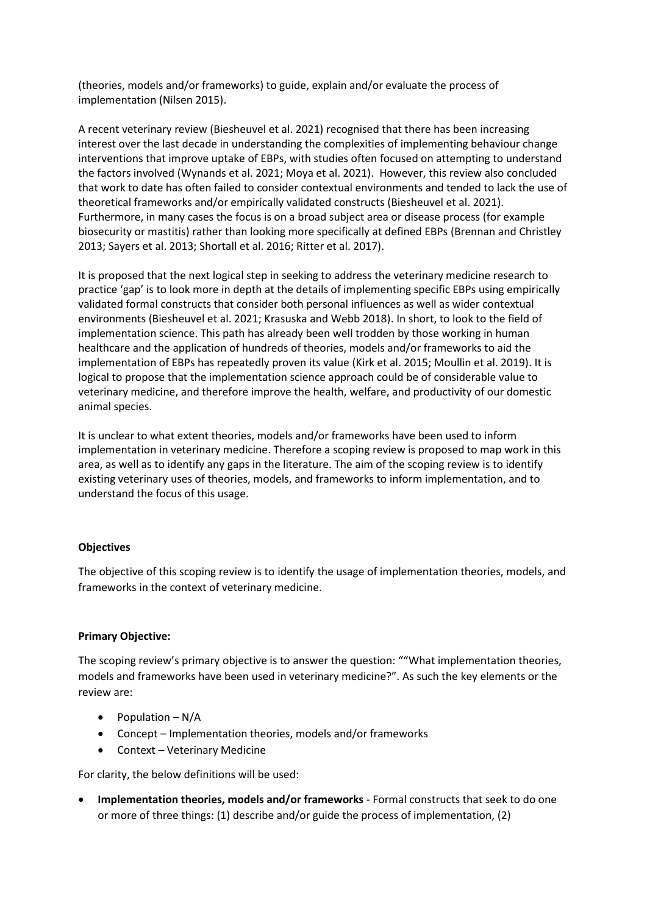(theories, models and/or frameworks) to guide, explain and/or evaluate the process of implementation (Nilsen 2015).

A recent veterinary review (Biesheuvel et al. 2021) recognised that there has been increasing interest over the last decade in understanding the complexities of implementing behaviour change interventions that improve uptake of EBPs, with studies often focused on attempting to understand the factors involved (Wynands et al. 2021; Moya et al. 2021). However, this review also concluded that work to date has often failed to consider contextual environments and tended to lack the use of theoretical frameworks and/or empirically validated constructs (Biesheuvel et al. 2021). Furthermore, in many cases the focus is on a broad subject area or disease process (for example biosecurity or mastitis) rather than looking more specifically at defined EBPs (Brennan and Christley 2013; Sayers et al. 2013; Shortall et al. 2016; Ritter et al. 2017).

It is proposed that the next logical step in seeking to address the veterinary medicine research to practice 'gap' is to look more in depth at the details of implementing specific EBPs using empirically validated formal constructs that consider both personal influences as well as wider contextual environments (Biesheuvel et al. 2021; Krasuska and Webb 2018). In short, to look to the field of implementation science. This path has already been well trodden by those working in human healthcare and the application of hundreds of theories, models and/or frameworks to aid the implementation of EBPs has repeatedly proven its value (Kirk et al. 2015; Moullin et al. 2019). It is logical to propose that the implementation science approach could be of considerable value to veterinary medicine, and therefore improve the health, welfare, and productivity of our domestic animal species.

It is unclear to what extent theories, models and/or frameworks have been used to inform implementation in veterinary medicine. Therefore a scoping review is proposed to map work in this area, as well as to identify any gaps in the literature. The aim of the scoping review is to identify existing veterinary uses of theories, models, and frameworks to inform implementation, and to understand the focus of this usage.

### **Objectives**

The objective of this scoping review is to identify the usage of implementation theories, models, and frameworks in the context of veterinary medicine.

### **Primary Objective:**

The scoping review's primary objective is to answer the question: ""What implementation theories, models and frameworks have been used in veterinary medicine?". As such the key elements or the review are:

- Population  $-N/A$
- Concept Implementation theories, models and/or frameworks
- Context Veterinary Medicine

For clarity, the below definitions will be used:

• **Implementation theories, models and/or frameworks** - Formal constructs that seek to do one or more of three things: (1) describe and/or guide the process of implementation, (2)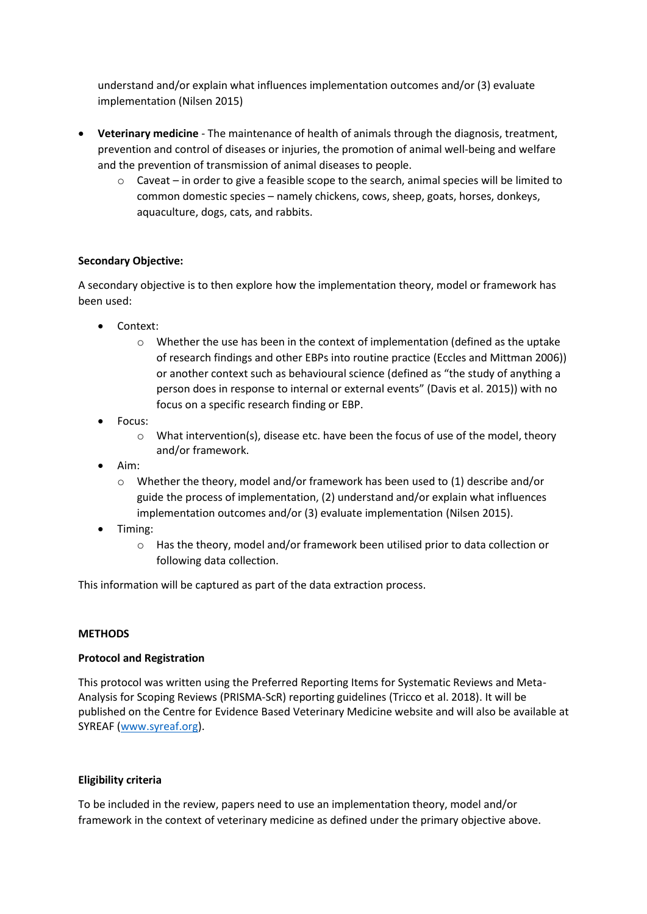understand and/or explain what influences implementation outcomes and/or (3) evaluate implementation (Nilsen 2015)

- **Veterinary medicine** The maintenance of health of animals through the diagnosis, treatment, prevention and control of diseases or injuries, the promotion of animal well-being and welfare and the prevention of transmission of animal diseases to people.
	- $\circ$  Caveat in order to give a feasible scope to the search, animal species will be limited to common domestic species – namely chickens, cows, sheep, goats, horses, donkeys, aquaculture, dogs, cats, and rabbits.

### **Secondary Objective:**

A secondary objective is to then explore how the implementation theory, model or framework has been used:

- Context:
	- $\circ$  Whether the use has been in the context of implementation (defined as the uptake of research findings and other EBPs into routine practice (Eccles and Mittman 2006)) or another context such as behavioural science (defined as "the study of anything a person does in response to internal or external events" (Davis et al. 2015)) with no focus on a specific research finding or EBP.
- Focus:
	- $\circ$  What intervention(s), disease etc. have been the focus of use of the model, theory and/or framework.
- Aim:
	- $\circ$  Whether the theory, model and/or framework has been used to (1) describe and/or guide the process of implementation, (2) understand and/or explain what influences implementation outcomes and/or (3) evaluate implementation (Nilsen 2015).
- Timing:
	- o Has the theory, model and/or framework been utilised prior to data collection or following data collection.

This information will be captured as part of the data extraction process.

### **METHODS**

### **Protocol and Registration**

This protocol was written using the Preferred Reporting Items for Systematic Reviews and Meta-Analysis for Scoping Reviews (PRISMA-ScR) reporting guidelines (Tricco et al. 2018). It will be published on the Centre for Evidence Based Veterinary Medicine website and will also be available at SYREAF [\(www.syreaf.org\)](http://www.syreaf.org/).

### **Eligibility criteria**

To be included in the review, papers need to use an implementation theory, model and/or framework in the context of veterinary medicine as defined under the primary objective above.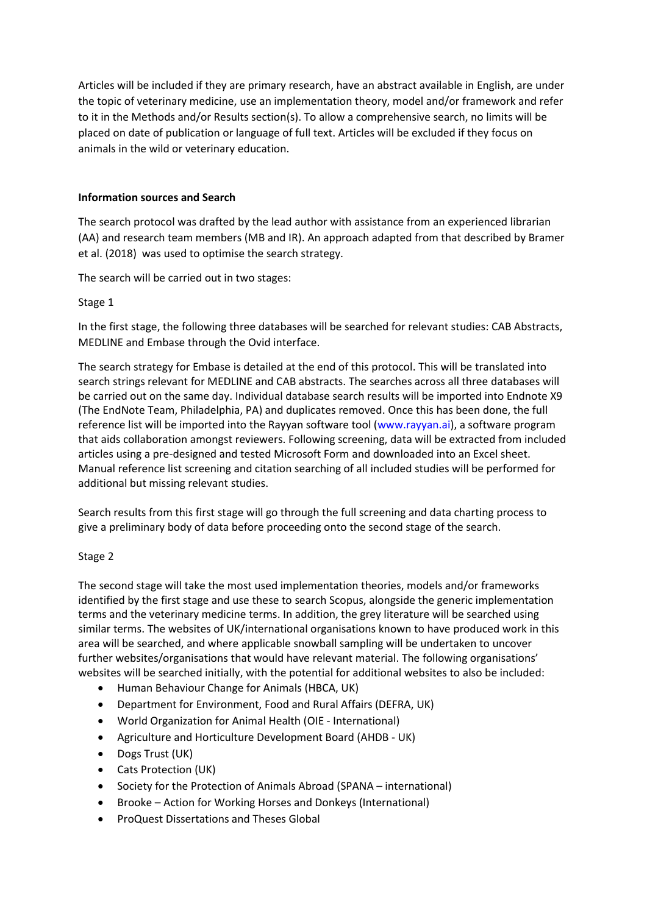Articles will be included if they are primary research, have an abstract available in English, are under the topic of veterinary medicine, use an implementation theory, model and/or framework and refer to it in the Methods and/or Results section(s). To allow a comprehensive search, no limits will be placed on date of publication or language of full text. Articles will be excluded if they focus on animals in the wild or veterinary education.

### **Information sources and Search**

The search protocol was drafted by the lead author with assistance from an experienced librarian (AA) and research team members (MB and IR). An approach adapted from that described by Bramer et al. (2018) was used to optimise the search strategy.

The search will be carried out in two stages:

### Stage 1

In the first stage, the following three databases will be searched for relevant studies: CAB Abstracts, MEDLINE and Embase through the Ovid interface.

The search strategy for Embase is detailed at the end of this protocol. This will be translated into search strings relevant for MEDLINE and CAB abstracts. The searches across all three databases will be carried out on the same day. Individual database search results will be imported into Endnote X9 (The EndNote Team, Philadelphia, PA) and duplicates removed. Once this has been done, the full reference list will be imported into the Rayyan software tool (www.rayyan.ai), a software program that aids collaboration amongst reviewers. Following screening, data will be extracted from included articles using a pre-designed and tested Microsoft Form and downloaded into an Excel sheet. Manual reference list screening and citation searching of all included studies will be performed for additional but missing relevant studies.

Search results from this first stage will go through the full screening and data charting process to give a preliminary body of data before proceeding onto the second stage of the search.

# Stage 2

The second stage will take the most used implementation theories, models and/or frameworks identified by the first stage and use these to search Scopus, alongside the generic implementation terms and the veterinary medicine terms. In addition, the grey literature will be searched using similar terms. The websites of UK/international organisations known to have produced work in this area will be searched, and where applicable snowball sampling will be undertaken to uncover further websites/organisations that would have relevant material. The following organisations' websites will be searched initially, with the potential for additional websites to also be included:

- Human Behaviour Change for Animals (HBCA, UK)
- Department for Environment, Food and Rural Affairs (DEFRA, UK)
- World Organization for Animal Health (OIE International)
- Agriculture and Horticulture Development Board (AHDB UK)
- Dogs Trust (UK)
- Cats Protection (UK)
- Society for the Protection of Animals Abroad (SPANA international)
- Brooke Action for Working Horses and Donkeys (International)
- ProQuest Dissertations and Theses Global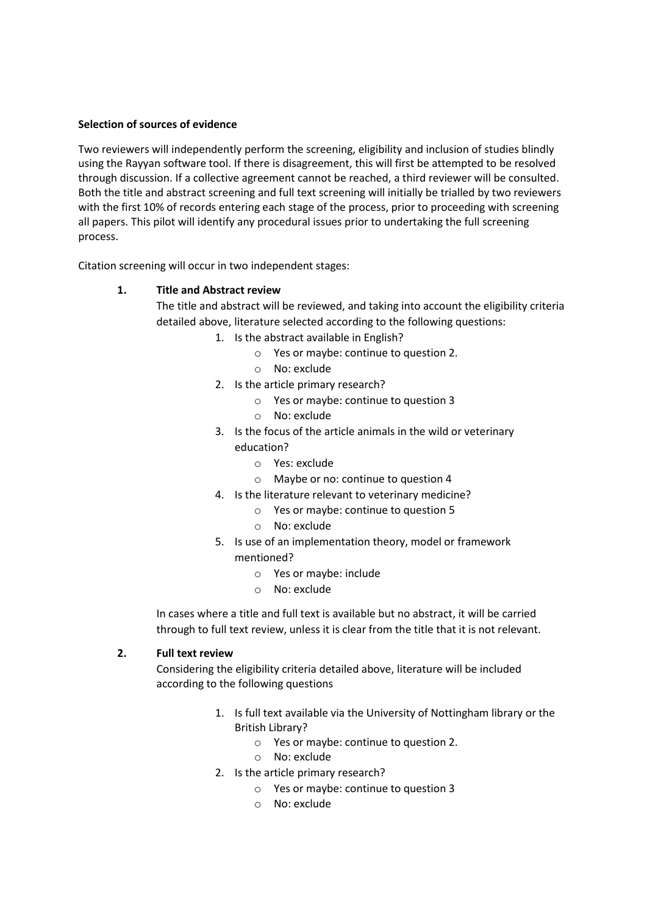### **Selection of sources of evidence**

Two reviewers will independently perform the screening, eligibility and inclusion of studies blindly using the Rayyan software tool. If there is disagreement, this will first be attempted to be resolved through discussion. If a collective agreement cannot be reached, a third reviewer will be consulted. Both the title and abstract screening and full text screening will initially be trialled by two reviewers with the first 10% of records entering each stage of the process, prior to proceeding with screening all papers. This pilot will identify any procedural issues prior to undertaking the full screening process.

Citation screening will occur in two independent stages:

### **1. Title and Abstract review**

The title and abstract will be reviewed, and taking into account the eligibility criteria detailed above, literature selected according to the following questions:

- 1. Is the abstract available in English?
	- o Yes or maybe: continue to question 2.
	- o No: exclude
	- 2. Is the article primary research?
		- o Yes or maybe: continue to question 3
		- o No: exclude
	- 3. Is the focus of the article animals in the wild or veterinary education?
		- o Yes: exclude
		- o Maybe or no: continue to question 4
	- 4. Is the literature relevant to veterinary medicine?
		- o Yes or maybe: continue to question 5
		- o No: exclude
	- 5. Is use of an implementation theory, model or framework mentioned?
		- o Yes or maybe: include
		- o No: exclude

In cases where a title and full text is available but no abstract, it will be carried through to full text review, unless it is clear from the title that it is not relevant.

### **2. Full text review**

Considering the eligibility criteria detailed above, literature will be included according to the following questions

- 1. Is full text available via the University of Nottingham library or the British Library?
	- o Yes or maybe: continue to question 2.
	- o No: exclude
- 2. Is the article primary research?
	- o Yes or maybe: continue to question 3
	- o No: exclude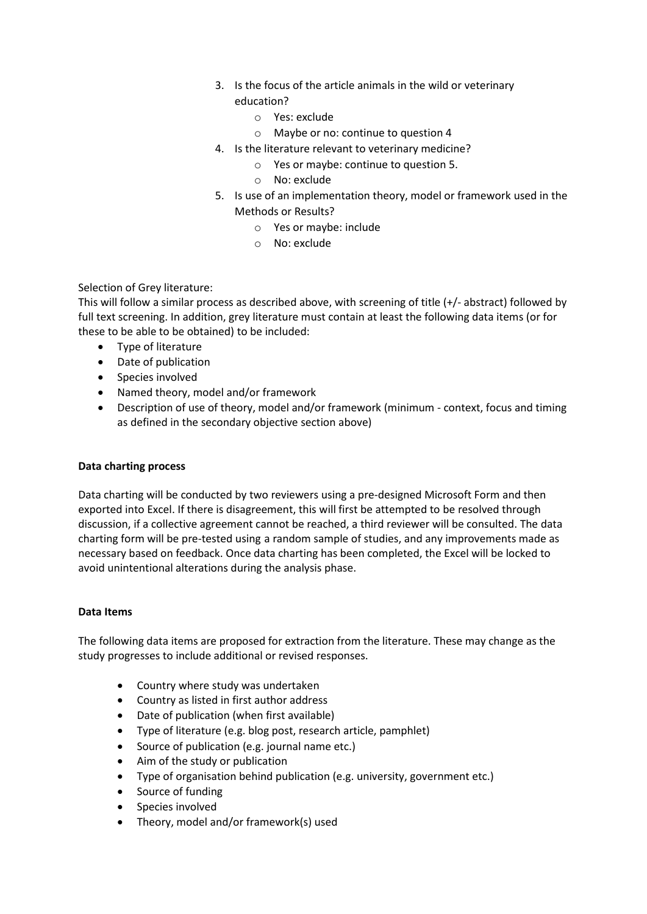- 3. Is the focus of the article animals in the wild or veterinary education?
	- o Yes: exclude
	- o Maybe or no: continue to question 4
- 4. Is the literature relevant to veterinary medicine?
	- o Yes or maybe: continue to question 5.
	- o No: exclude
- 5. Is use of an implementation theory, model or framework used in the Methods or Results?
	- o Yes or maybe: include
	- o No: exclude

### Selection of Grey literature:

This will follow a similar process as described above, with screening of title (+/- abstract) followed by full text screening. In addition, grey literature must contain at least the following data items (or for these to be able to be obtained) to be included:

- Type of literature
- Date of publication
- Species involved
- Named theory, model and/or framework
- Description of use of theory, model and/or framework (minimum context, focus and timing as defined in the secondary objective section above)

### **Data charting process**

Data charting will be conducted by two reviewers using a pre-designed Microsoft Form and then exported into Excel. If there is disagreement, this will first be attempted to be resolved through discussion, if a collective agreement cannot be reached, a third reviewer will be consulted. The data charting form will be pre-tested using a random sample of studies, and any improvements made as necessary based on feedback. Once data charting has been completed, the Excel will be locked to avoid unintentional alterations during the analysis phase.

### **Data Items**

The following data items are proposed for extraction from the literature. These may change as the study progresses to include additional or revised responses.

- Country where study was undertaken
- Country as listed in first author address
- Date of publication (when first available)
- Type of literature (e.g. blog post, research article, pamphlet)
- Source of publication (e.g. journal name etc.)
- Aim of the study or publication
- Type of organisation behind publication (e.g. university, government etc.)
- Source of funding
- Species involved
- Theory, model and/or framework(s) used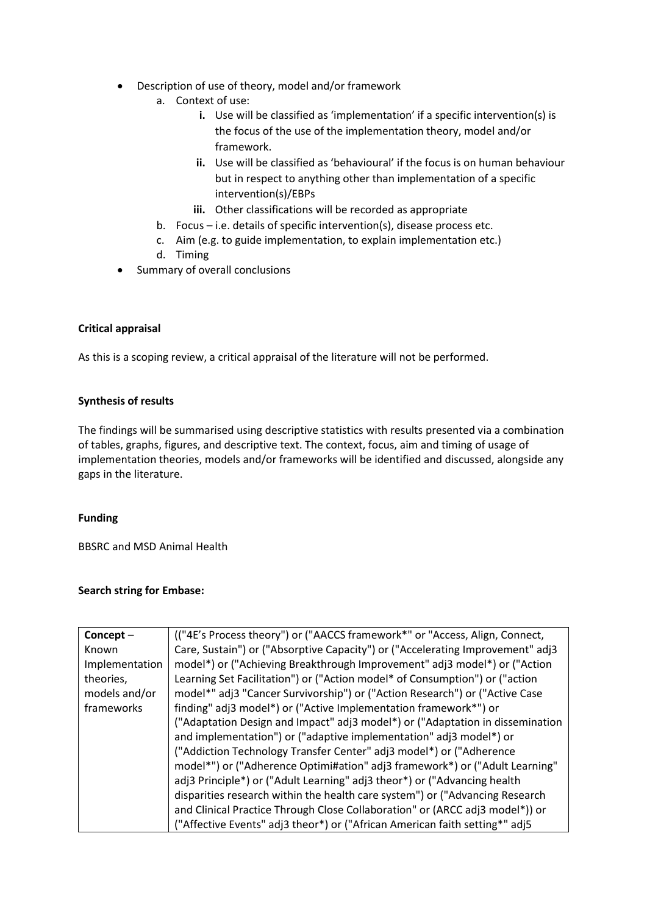- Description of use of theory, model and/or framework
	- a. Context of use:
		- **i.** Use will be classified as 'implementation' if a specific intervention(s) is the focus of the use of the implementation theory, model and/or framework.
		- **ii.** Use will be classified as 'behavioural' if the focus is on human behaviour but in respect to anything other than implementation of a specific intervention(s)/EBPs
		- **iii.** Other classifications will be recorded as appropriate
	- b. Focus i.e. details of specific intervention(s), disease process etc.
	- c. Aim (e.g. to guide implementation, to explain implementation etc.)
	- d. Timing
- Summary of overall conclusions

### **Critical appraisal**

As this is a scoping review, a critical appraisal of the literature will not be performed.

# **Synthesis of results**

The findings will be summarised using descriptive statistics with results presented via a combination of tables, graphs, figures, and descriptive text. The context, focus, aim and timing of usage of implementation theories, models and/or frameworks will be identified and discussed, alongside any gaps in the literature.

### **Funding**

BBSRC and MSD Animal Health

# **Search string for Embase:**

| Concept-       | (("4E's Process theory") or ("AACCS framework*" or "Access, Align, Connect,    |
|----------------|--------------------------------------------------------------------------------|
| Known          | Care, Sustain") or ("Absorptive Capacity") or ("Accelerating Improvement" adj3 |
| Implementation | model*) or ("Achieving Breakthrough Improvement" adj3 model*) or ("Action      |
| theories,      | Learning Set Facilitation") or ("Action model* of Consumption") or ("action    |
| models and/or  | model*" adj3 "Cancer Survivorship") or ("Action Research") or ("Active Case    |
| frameworks     | finding" adj3 model*) or ("Active Implementation framework*") or               |
|                | ("Adaptation Design and Impact" adj3 model*) or ("Adaptation in dissemination  |
|                | and implementation") or ("adaptive implementation" adj3 model*) or             |
|                | ("Addiction Technology Transfer Center" adj3 model*) or ("Adherence            |
|                | model*") or ("Adherence Optimi#ation" adj3 framework*) or ("Adult Learning"    |
|                | adj3 Principle*) or ("Adult Learning" adj3 theor*) or ("Advancing health       |
|                | disparities research within the health care system") or ("Advancing Research   |
|                | and Clinical Practice Through Close Collaboration" or (ARCC adj3 model*)) or   |
|                | ("Affective Events" adj3 theor*) or ("African American faith setting*" adj5    |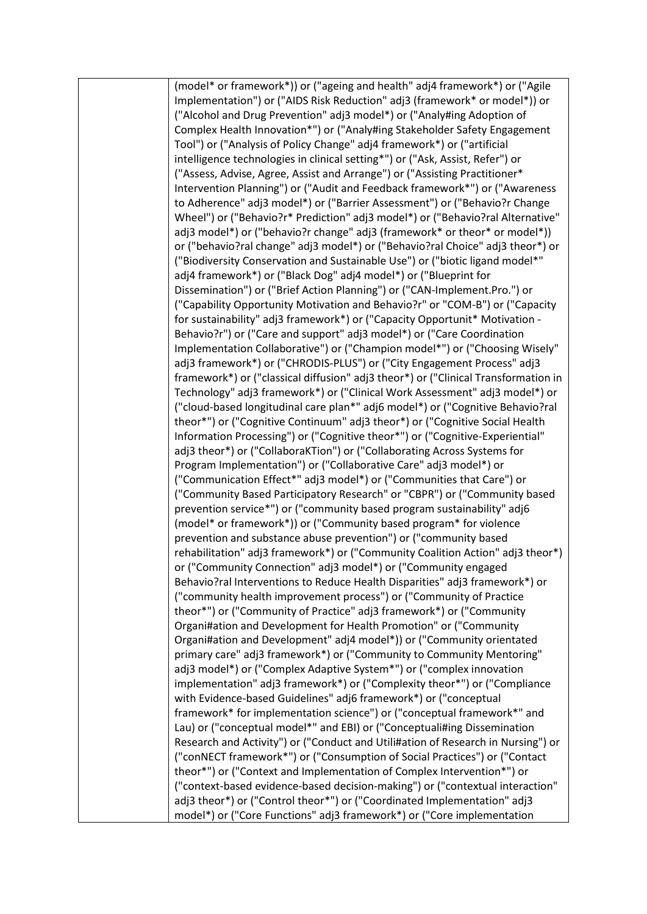(model\* or framework\*)) or ("ageing and health" adj4 framework\*) or ("Agile Implementation") or ("AIDS Risk Reduction" adj3 (framework\* or model\*)) or ("Alcohol and Drug Prevention" adj3 model\*) or ("Analy#ing Adoption of Complex Health Innovation\*") or ("Analy#ing Stakeholder Safety Engagement Tool") or ("Analysis of Policy Change" adj4 framework\*) or ("artificial intelligence technologies in clinical setting\*") or ("Ask, Assist, Refer") or ("Assess, Advise, Agree, Assist and Arrange") or ("Assisting Practitioner\* Intervention Planning") or ("Audit and Feedback framework\*") or ("Awareness to Adherence" adj3 model\*) or ("Barrier Assessment") or ("Behavio?r Change Wheel") or ("Behavio?r\* Prediction" adj3 model\*) or ("Behavio?ral Alternative" adj3 model\*) or ("behavio?r change" adj3 (framework\* or theor\* or model\*)) or ("behavio?ral change" adj3 model\*) or ("Behavio?ral Choice" adj3 theor\*) or ("Biodiversity Conservation and Sustainable Use") or ("biotic ligand model\*" adj4 framework\*) or ("Black Dog" adj4 model\*) or ("Blueprint for Dissemination") or ("Brief Action Planning") or ("CAN-Implement.Pro.") or ("Capability Opportunity Motivation and Behavio?r" or "COM-B") or ("Capacity for sustainability" adj3 framework\*) or ("Capacity Opportunit\* Motivation - Behavio?r") or ("Care and support" adj3 model\*) or ("Care Coordination Implementation Collaborative") or ("Champion model\*") or ("Choosing Wisely" adj3 framework\*) or ("CHRODIS-PLUS") or ("City Engagement Process" adj3 framework\*) or ("classical diffusion" adj3 theor\*) or ("Clinical Transformation in Technology" adj3 framework\*) or ("Clinical Work Assessment" adj3 model\*) or ("cloud-based longitudinal care plan\*" adj6 model\*) or ("Cognitive Behavio?ral theor\*") or ("Cognitive Continuum" adj3 theor\*) or ("Cognitive Social Health Information Processing") or ("Cognitive theor\*") or ("Cognitive-Experiential" adj3 theor\*) or ("CollaboraKTion") or ("Collaborating Across Systems for Program Implementation") or ("Collaborative Care" adj3 model\*) or ("Communication Effect\*" adj3 model\*) or ("Communities that Care") or ("Community Based Participatory Research" or "CBPR") or ("Community based prevention service\*") or ("community based program sustainability" adj6 (model\* or framework\*)) or ("Community based program\* for violence prevention and substance abuse prevention") or ("community based rehabilitation" adj3 framework\*) or ("Community Coalition Action" adj3 theor\*) or ("Community Connection" adj3 model\*) or ("Community engaged Behavio?ral Interventions to Reduce Health Disparities" adj3 framework\*) or ("community health improvement process") or ("Community of Practice theor\*") or ("Community of Practice" adj3 framework\*) or ("Community Organi#ation and Development for Health Promotion" or ("Community Organi#ation and Development" adj4 model\*)) or ("Community orientated primary care" adj3 framework\*) or ("Community to Community Mentoring" adj3 model\*) or ("Complex Adaptive System\*") or ("complex innovation implementation" adj3 framework\*) or ("Complexity theor\*") or ("Compliance with Evidence-based Guidelines" adj6 framework\*) or ("conceptual framework\* for implementation science") or ("conceptual framework\*" and Lau) or ("conceptual model\*" and EBI) or ("Conceptuali#ing Dissemination Research and Activity") or ("Conduct and Utili#ation of Research in Nursing") or ("conNECT framework\*") or ("Consumption of Social Practices") or ("Contact theor\*") or ("Context and Implementation of Complex Intervention\*") or ("context-based evidence-based decision-making") or ("contextual interaction" adj3 theor\*) or ("Control theor\*") or ("Coordinated Implementation" adj3 model\*) or ("Core Functions" adj3 framework\*) or ("Core implementation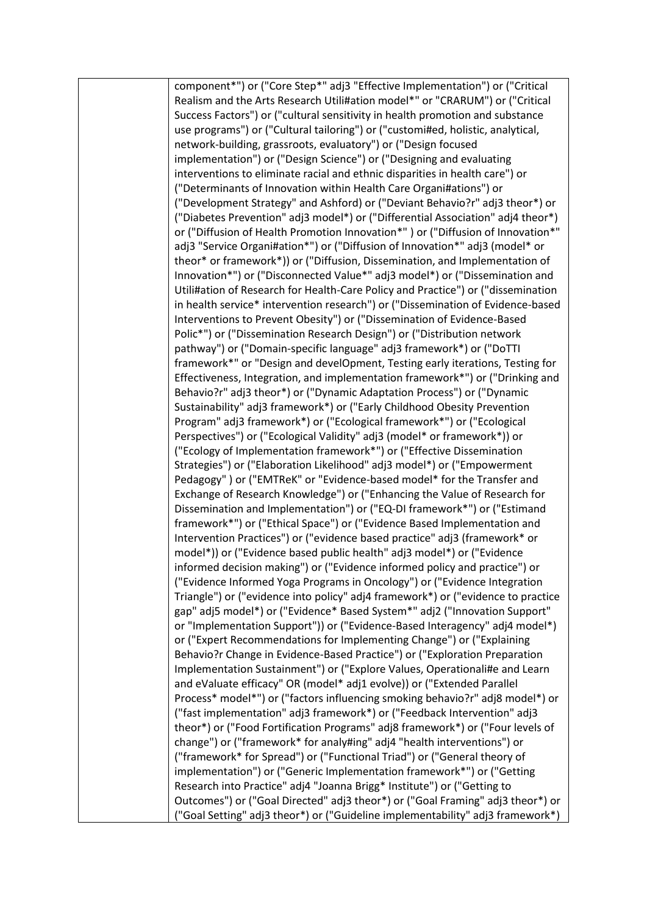| component*") or ("Core Step*" adj3 "Effective Implementation") or ("Critical     |
|----------------------------------------------------------------------------------|
| Realism and the Arts Research Utili#ation model*" or "CRARUM") or ("Critical     |
| Success Factors") or ("cultural sensitivity in health promotion and substance    |
| use programs") or ("Cultural tailoring") or ("customi#ed, holistic, analytical,  |
| network-building, grassroots, evaluatory") or ("Design focused                   |
| implementation") or ("Design Science") or ("Designing and evaluating             |
| interventions to eliminate racial and ethnic disparities in health care") or     |
| ("Determinants of Innovation within Health Care Organi#ations") or               |
| ("Development Strategy" and Ashford) or ("Deviant Behavio?r" adj3 theor*) or     |
| ("Diabetes Prevention" adj3 model*) or ("Differential Association" adj4 theor*)  |
| or ("Diffusion of Health Promotion Innovation*") or ("Diffusion of Innovation*"  |
| adj3 "Service Organi#ation*") or ("Diffusion of Innovation*" adj3 (model* or     |
| theor* or framework*)) or ("Diffusion, Dissemination, and Implementation of      |
| Innovation*") or ("Disconnected Value*" adj3 model*) or ("Dissemination and      |
| Utili#ation of Research for Health-Care Policy and Practice") or ("dissemination |
| in health service* intervention research") or ("Dissemination of Evidence-based  |
| Interventions to Prevent Obesity") or ("Dissemination of Evidence-Based          |
| Polic*") or ("Dissemination Research Design") or ("Distribution network          |
| pathway") or ("Domain-specific language" adj3 framework*) or ("DoTTI             |
| framework*" or "Design and develOpment, Testing early iterations, Testing for    |
| Effectiveness, Integration, and implementation framework*") or ("Drinking and    |
| Behavio?r" adj3 theor*) or ("Dynamic Adaptation Process") or ("Dynamic           |
| Sustainability" adj3 framework*) or ("Early Childhood Obesity Prevention         |
| Program" adj3 framework*) or ("Ecological framework*") or ("Ecological           |
| Perspectives") or ("Ecological Validity" adj3 (model* or framework*)) or         |
| ("Ecology of Implementation framework*") or ("Effective Dissemination            |
| Strategies") or ("Elaboration Likelihood" adj3 model*) or ("Empowerment          |
| Pedagogy") or ("EMTReK" or "Evidence-based model* for the Transfer and           |
| Exchange of Research Knowledge") or ("Enhancing the Value of Research for        |
| Dissemination and Implementation") or ("EQ-DI framework*") or ("Estimand         |
| framework*") or ("Ethical Space") or ("Evidence Based Implementation and         |
| Intervention Practices") or ("evidence based practice" adj3 (framework* or       |
| model*)) or ("Evidence based public health" adj3 model*) or ("Evidence           |
| informed decision making") or ("Evidence informed policy and practice") or       |
| ("Evidence Informed Yoga Programs in Oncology") or ("Evidence Integration        |
| Triangle") or ("evidence into policy" adj4 framework*) or ("evidence to practice |
| gap" adj5 model*) or ("Evidence* Based System*" adj2 ("Innovation Support"       |
| or "Implementation Support")) or ("Evidence-Based Interagency" adj4 model*)      |
| or ("Expert Recommendations for Implementing Change") or ("Explaining            |
| Behavio?r Change in Evidence-Based Practice") or ("Exploration Preparation       |
| Implementation Sustainment") or ("Explore Values, Operationali#e and Learn       |
| and eValuate efficacy" OR (model* adj1 evolve)) or ("Extended Parallel           |
| Process* model*") or ("factors influencing smoking behavio?r" adj8 model*) or    |
| ("fast implementation" adj3 framework*) or ("Feedback Intervention" adj3         |
| theor*) or ("Food Fortification Programs" adj8 framework*) or ("Four levels of   |
| change") or ("framework* for analy#ing" adj4 "health interventions") or          |
| ("framework* for Spread") or ("Functional Triad") or ("General theory of         |
| implementation") or ("Generic Implementation framework*") or ("Getting           |
| Research into Practice" adj4 "Joanna Brigg* Institute") or ("Getting to          |
| Outcomes") or ("Goal Directed" adj3 theor*) or ("Goal Framing" adj3 theor*) or   |
| ("Goal Setting" adj3 theor*) or ("Guideline implementability" adj3 framework*)   |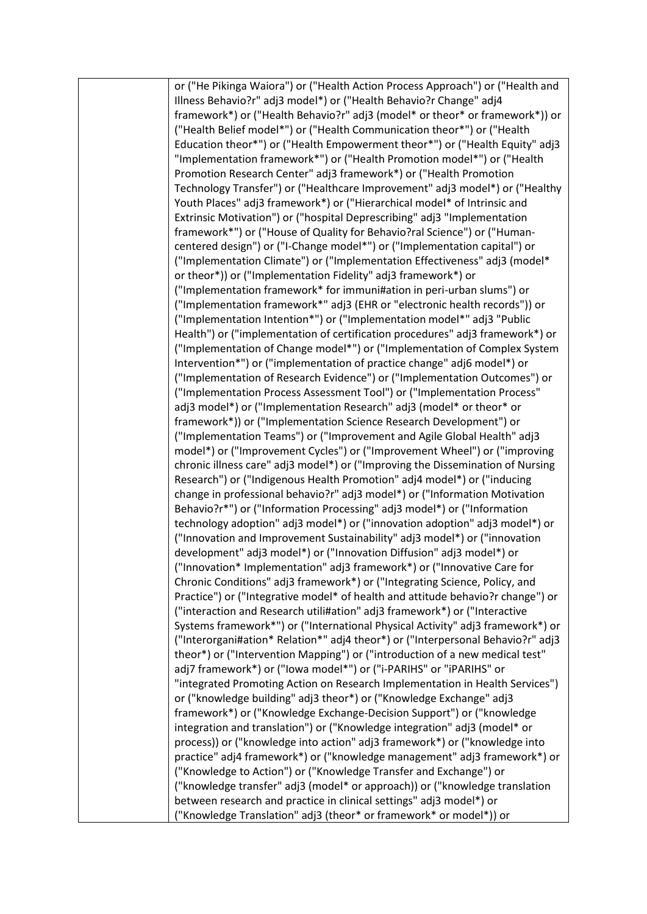or ("He Pikinga Waiora") or ("Health Action Process Approach") or ("Health and Illness Behavio?r" adj3 model\*) or ("Health Behavio?r Change" adj4 framework\*) or ("Health Behavio?r" adj3 (model\* or theor\* or framework\*)) or ("Health Belief model\*") or ("Health Communication theor\*") or ("Health Education theor\*") or ("Health Empowerment theor\*") or ("Health Equity" adj3 "Implementation framework\*") or ("Health Promotion model\*") or ("Health Promotion Research Center" adj3 framework\*) or ("Health Promotion Technology Transfer") or ("Healthcare Improvement" adj3 model\*) or ("Healthy Youth Places" adj3 framework\*) or ("Hierarchical model\* of Intrinsic and Extrinsic Motivation") or ("hospital Deprescribing" adj3 "Implementation framework\*") or ("House of Quality for Behavio?ral Science") or ("Humancentered design") or ("I-Change model\*") or ("Implementation capital") or ("Implementation Climate") or ("Implementation Effectiveness" adj3 (model\* or theor\*)) or ("Implementation Fidelity" adj3 framework\*) or ("Implementation framework\* for immuni#ation in peri-urban slums") or ("Implementation framework\*" adj3 (EHR or "electronic health records")) or ("Implementation Intention\*") or ("Implementation model\*" adj3 "Public Health") or ("implementation of certification procedures" adj3 framework\*) or ("Implementation of Change model\*") or ("Implementation of Complex System Intervention\*") or ("implementation of practice change" adj6 model\*) or ("Implementation of Research Evidence") or ("Implementation Outcomes") or ("Implementation Process Assessment Tool") or ("Implementation Process" adj3 model\*) or ("Implementation Research" adj3 (model\* or theor\* or framework\*)) or ("Implementation Science Research Development") or ("Implementation Teams") or ("Improvement and Agile Global Health" adj3 model\*) or ("Improvement Cycles") or ("Improvement Wheel") or ("improving chronic illness care" adj3 model\*) or ("Improving the Dissemination of Nursing Research") or ("Indigenous Health Promotion" adj4 model\*) or ("inducing change in professional behavio?r" adj3 model\*) or ("Information Motivation Behavio?r\*") or ("Information Processing" adj3 model\*) or ("Information technology adoption" adj3 model\*) or ("innovation adoption" adj3 model\*) or ("Innovation and Improvement Sustainability" adj3 model\*) or ("innovation development" adj3 model\*) or ("Innovation Diffusion" adj3 model\*) or ("Innovation\* Implementation" adj3 framework\*) or ("Innovative Care for Chronic Conditions" adj3 framework\*) or ("Integrating Science, Policy, and Practice") or ("Integrative model\* of health and attitude behavio?r change") or ("interaction and Research utili#ation" adj3 framework\*) or ("Interactive Systems framework\*") or ("International Physical Activity" adj3 framework\*) or ("Interorgani#ation\* Relation\*" adj4 theor\*) or ("Interpersonal Behavio?r" adj3 theor\*) or ("Intervention Mapping") or ("introduction of a new medical test" adj7 framework\*) or ("Iowa model\*") or ("i-PARIHS" or "iPARIHS" or "integrated Promoting Action on Research Implementation in Health Services") or ("knowledge building" adj3 theor\*) or ("Knowledge Exchange" adj3 framework\*) or ("Knowledge Exchange-Decision Support") or ("knowledge integration and translation") or ("Knowledge integration" adj3 (model\* or process)) or ("knowledge into action" adj3 framework\*) or ("knowledge into practice" adj4 framework\*) or ("knowledge management" adj3 framework\*) or ("Knowledge to Action") or ("Knowledge Transfer and Exchange") or ("knowledge transfer" adj3 (model\* or approach)) or ("knowledge translation between research and practice in clinical settings" adj3 model\*) or ("Knowledge Translation" adj3 (theor\* or framework\* or model\*)) or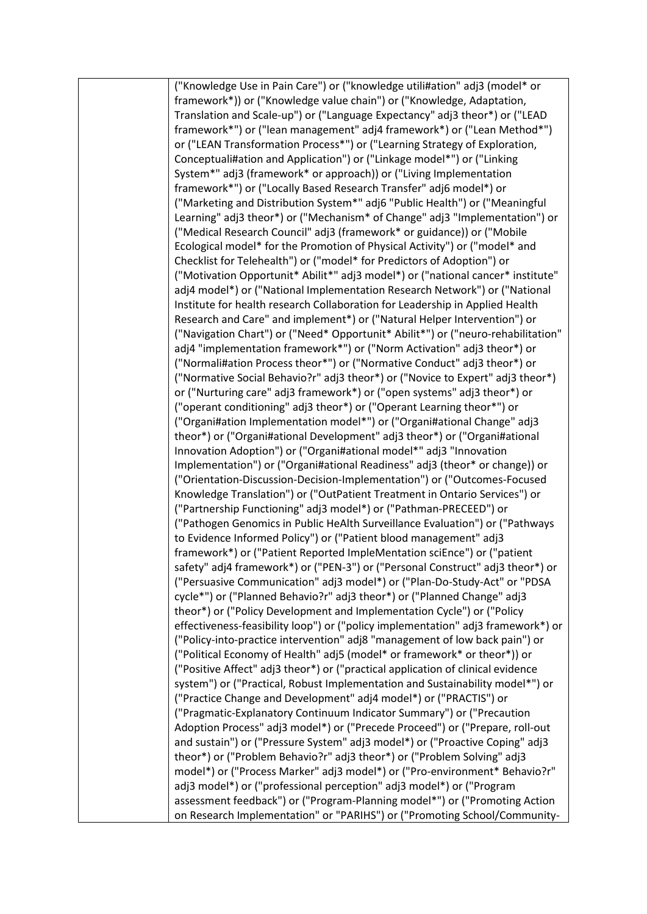("Knowledge Use in Pain Care") or ("knowledge utili#ation" adj3 (model\* or framework\*)) or ("Knowledge value chain") or ("Knowledge, Adaptation, Translation and Scale-up") or ("Language Expectancy" adj3 theor\*) or ("LEAD framework\*") or ("lean management" adj4 framework\*) or ("Lean Method\*") or ("LEAN Transformation Process\*") or ("Learning Strategy of Exploration, Conceptuali#ation and Application") or ("Linkage model\*") or ("Linking System\*" adj3 (framework\* or approach)) or ("Living Implementation framework\*") or ("Locally Based Research Transfer" adj6 model\*) or ("Marketing and Distribution System\*" adj6 "Public Health") or ("Meaningful Learning" adj3 theor\*) or ("Mechanism\* of Change" adj3 "Implementation") or ("Medical Research Council" adj3 (framework\* or guidance)) or ("Mobile Ecological model\* for the Promotion of Physical Activity") or ("model\* and Checklist for Telehealth") or ("model\* for Predictors of Adoption") or ("Motivation Opportunit\* Abilit\*" adj3 model\*) or ("national cancer\* institute" adj4 model\*) or ("National Implementation Research Network") or ("National Institute for health research Collaboration for Leadership in Applied Health Research and Care" and implement\*) or ("Natural Helper Intervention") or ("Navigation Chart") or ("Need\* Opportunit\* Abilit\*") or ("neuro-rehabilitation" adj4 "implementation framework\*") or ("Norm Activation" adj3 theor\*) or ("Normali#ation Process theor\*") or ("Normative Conduct" adj3 theor\*) or ("Normative Social Behavio?r" adj3 theor\*) or ("Novice to Expert" adj3 theor\*) or ("Nurturing care" adj3 framework\*) or ("open systems" adj3 theor\*) or ("operant conditioning" adj3 theor\*) or ("Operant Learning theor\*") or ("Organi#ation Implementation model\*") or ("Organi#ational Change" adj3 theor\*) or ("Organi#ational Development" adj3 theor\*) or ("Organi#ational Innovation Adoption") or ("Organi#ational model\*" adj3 "Innovation Implementation") or ("Organi#ational Readiness" adj3 (theor\* or change)) or ("Orientation-Discussion-Decision-Implementation") or ("Outcomes-Focused Knowledge Translation") or ("OutPatient Treatment in Ontario Services") or ("Partnership Functioning" adj3 model\*) or ("Pathman-PRECEED") or ("Pathogen Genomics in Public HeAlth Surveillance Evaluation") or ("Pathways to Evidence Informed Policy") or ("Patient blood management" adj3 framework\*) or ("Patient Reported ImpleMentation sciEnce") or ("patient safety" adj4 framework\*) or ("PEN-3") or ("Personal Construct" adj3 theor\*) or ("Persuasive Communication" adj3 model\*) or ("Plan-Do-Study-Act" or "PDSA cycle\*") or ("Planned Behavio?r" adj3 theor\*) or ("Planned Change" adj3 theor\*) or ("Policy Development and Implementation Cycle") or ("Policy effectiveness-feasibility loop") or ("policy implementation" adj3 framework\*) or ("Policy-into-practice intervention" adj8 "management of low back pain") or ("Political Economy of Health" adj5 (model\* or framework\* or theor\*)) or ("Positive Affect" adj3 theor\*) or ("practical application of clinical evidence system") or ("Practical, Robust Implementation and Sustainability model\*") or ("Practice Change and Development" adj4 model\*) or ("PRACTIS") or ("Pragmatic-Explanatory Continuum Indicator Summary") or ("Precaution Adoption Process" adj3 model\*) or ("Precede Proceed") or ("Prepare, roll-out and sustain") or ("Pressure System" adj3 model\*) or ("Proactive Coping" adj3 theor\*) or ("Problem Behavio?r" adj3 theor\*) or ("Problem Solving" adj3 model\*) or ("Process Marker" adj3 model\*) or ("Pro-environment\* Behavio?r" adj3 model\*) or ("professional perception" adj3 model\*) or ("Program assessment feedback") or ("Program-Planning model\*") or ("Promoting Action on Research Implementation" or "PARIHS") or ("Promoting School/Community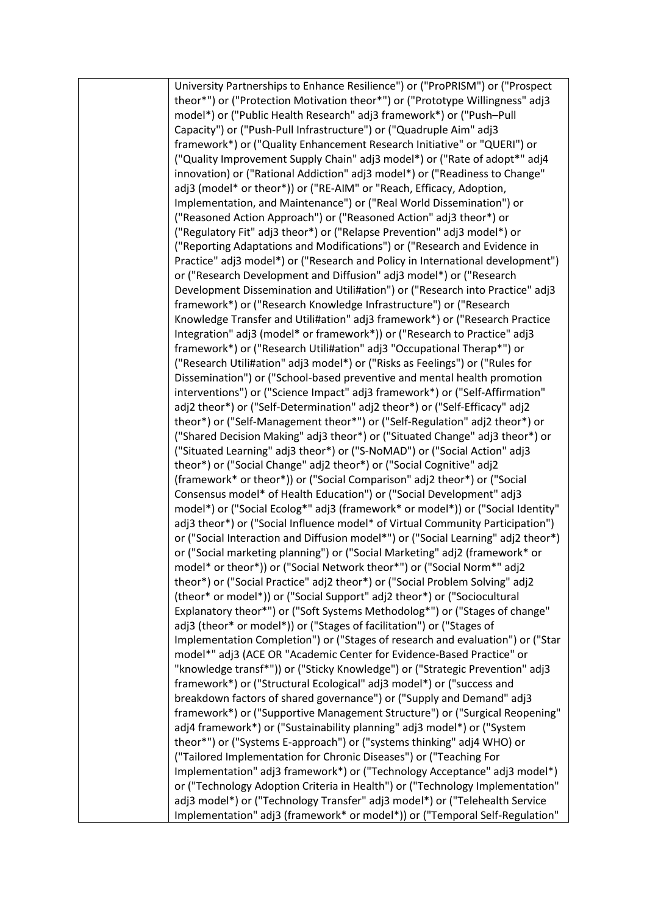University Partnerships to Enhance Resilience") or ("ProPRISM") or ("Prospect theor\*") or ("Protection Motivation theor\*") or ("Prototype Willingness" adj3 model\*) or ("Public Health Research" adj3 framework\*) or ("Push–Pull Capacity") or ("Push-Pull Infrastructure") or ("Quadruple Aim" adj3 framework\*) or ("Quality Enhancement Research Initiative" or "QUERI") or ("Quality Improvement Supply Chain" adj3 model\*) or ("Rate of adopt\*" adj4 innovation) or ("Rational Addiction" adj3 model\*) or ("Readiness to Change" adj3 (model\* or theor\*)) or ("RE-AIM" or "Reach, Efficacy, Adoption, Implementation, and Maintenance") or ("Real World Dissemination") or ("Reasoned Action Approach") or ("Reasoned Action" adj3 theor\*) or ("Regulatory Fit" adj3 theor\*) or ("Relapse Prevention" adj3 model\*) or ("Reporting Adaptations and Modifications") or ("Research and Evidence in Practice" adj3 model\*) or ("Research and Policy in International development") or ("Research Development and Diffusion" adj3 model\*) or ("Research Development Dissemination and Utili#ation") or ("Research into Practice" adj3 framework\*) or ("Research Knowledge Infrastructure") or ("Research Knowledge Transfer and Utili#ation" adj3 framework\*) or ("Research Practice Integration" adj3 (model\* or framework\*)) or ("Research to Practice" adj3 framework\*) or ("Research Utili#ation" adj3 "Occupational Therap\*") or ("Research Utili#ation" adj3 model\*) or ("Risks as Feelings") or ("Rules for Dissemination") or ("School-based preventive and mental health promotion interventions") or ("Science Impact" adj3 framework\*) or ("Self-Affirmation" adj2 theor\*) or ("Self-Determination" adj2 theor\*) or ("Self-Efficacy" adj2 theor\*) or ("Self-Management theor\*") or ("Self-Regulation" adj2 theor\*) or ("Shared Decision Making" adj3 theor\*) or ("Situated Change" adj3 theor\*) or ("Situated Learning" adj3 theor\*) or ("S-NoMAD") or ("Social Action" adj3 theor\*) or ("Social Change" adj2 theor\*) or ("Social Cognitive" adj2 (framework\* or theor\*)) or ("Social Comparison" adj2 theor\*) or ("Social Consensus model\* of Health Education") or ("Social Development" adj3 model\*) or ("Social Ecolog\*" adj3 (framework\* or model\*)) or ("Social Identity" adj3 theor\*) or ("Social Influence model\* of Virtual Community Participation") or ("Social Interaction and Diffusion model\*") or ("Social Learning" adj2 theor\*) or ("Social marketing planning") or ("Social Marketing" adj2 (framework\* or model\* or theor\*)) or ("Social Network theor\*") or ("Social Norm\*" adj2 theor\*) or ("Social Practice" adj2 theor\*) or ("Social Problem Solving" adj2 (theor\* or model\*)) or ("Social Support" adj2 theor\*) or ("Sociocultural Explanatory theor\*") or ("Soft Systems Methodolog\*") or ("Stages of change" adj3 (theor\* or model\*)) or ("Stages of facilitation") or ("Stages of Implementation Completion") or ("Stages of research and evaluation") or ("Star model\*" adj3 (ACE OR "Academic Center for Evidence-Based Practice" or "knowledge transf\*")) or ("Sticky Knowledge") or ("Strategic Prevention" adj3 framework\*) or ("Structural Ecological" adj3 model\*) or ("success and breakdown factors of shared governance") or ("Supply and Demand" adj3 framework\*) or ("Supportive Management Structure") or ("Surgical Reopening" adj4 framework\*) or ("Sustainability planning" adj3 model\*) or ("System theor\*") or ("Systems E-approach") or ("systems thinking" adj4 WHO) or ("Tailored Implementation for Chronic Diseases") or ("Teaching For Implementation" adj3 framework\*) or ("Technology Acceptance" adj3 model\*) or ("Technology Adoption Criteria in Health") or ("Technology Implementation" adj3 model\*) or ("Technology Transfer" adj3 model\*) or ("Telehealth Service Implementation" adj3 (framework\* or model\*)) or ("Temporal Self-Regulation"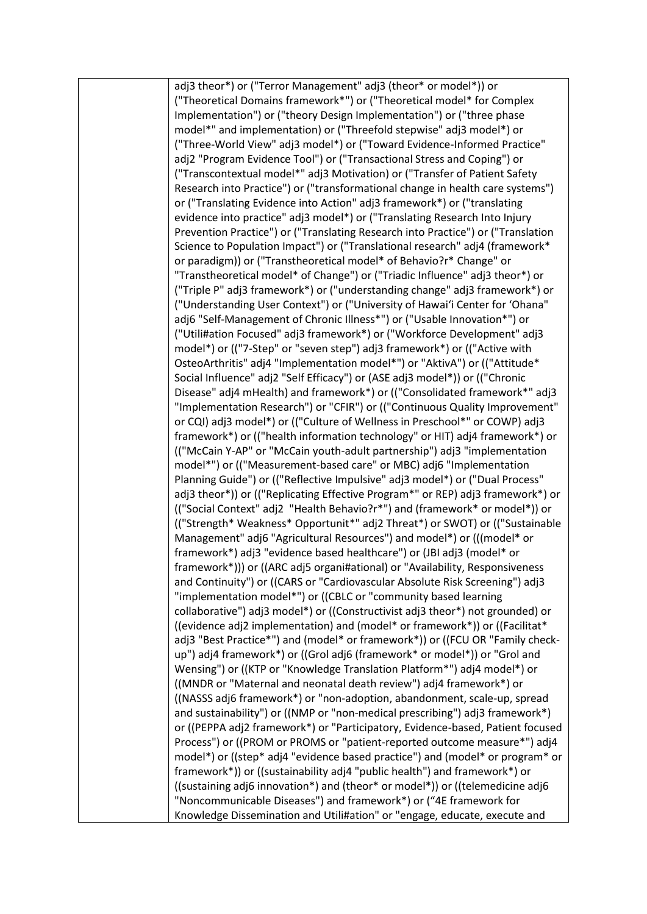adj3 theor\*) or ("Terror Management" adj3 (theor\* or model\*)) or ("Theoretical Domains framework\*") or ("Theoretical model\* for Complex Implementation") or ("theory Design Implementation") or ("three phase model\*" and implementation) or ("Threefold stepwise" adj3 model\*) or ("Three-World View" adj3 model\*) or ("Toward Evidence-Informed Practice" adj2 "Program Evidence Tool") or ("Transactional Stress and Coping") or ("Transcontextual model\*" adj3 Motivation) or ("Transfer of Patient Safety Research into Practice") or ("transformational change in health care systems") or ("Translating Evidence into Action" adj3 framework\*) or ("translating evidence into practice" adj3 model\*) or ("Translating Research Into Injury Prevention Practice") or ("Translating Research into Practice") or ("Translation Science to Population Impact") or ("Translational research" adj4 (framework\* or paradigm)) or ("Transtheoretical model\* of Behavio?r\* Change" or "Transtheoretical model\* of Change") or ("Triadic Influence" adj3 theor\*) or ("Triple P" adj3 framework\*) or ("understanding change" adj3 framework\*) or ("Understanding User Context") or ("University of Hawai'i Center for 'Ohana" adj6 "Self-Management of Chronic Illness\*") or ("Usable Innovation\*") or ("Utili#ation Focused" adj3 framework\*) or ("Workforce Development" adj3 model\*) or (("7-Step" or "seven step") adj3 framework\*) or (("Active with OsteoArthritis" adj4 "Implementation model\*") or "AktivA") or (("Attitude\* Social Influence" adj2 "Self Efficacy") or (ASE adj3 model\*)) or (("Chronic Disease" adj4 mHealth) and framework\*) or (("Consolidated framework\*" adj3 "Implementation Research") or "CFIR") or (("Continuous Quality Improvement" or CQI) adj3 model\*) or (("Culture of Wellness in Preschool\*" or COWP) adj3 framework\*) or (("health information technology" or HIT) adj4 framework\*) or (("McCain Y-AP" or "McCain youth-adult partnership") adj3 "implementation model\*") or (("Measurement-based care" or MBC) adj6 "Implementation Planning Guide") or (("Reflective Impulsive" adj3 model\*) or ("Dual Process" adj3 theor\*)) or (("Replicating Effective Program\*" or REP) adj3 framework\*) or (("Social Context" adj2 "Health Behavio?r\*") and (framework\* or model\*)) or (("Strength\* Weakness\* Opportunit\*" adj2 Threat\*) or SWOT) or (("Sustainable Management" adj6 "Agricultural Resources") and model\*) or (((model\* or framework\*) adj3 "evidence based healthcare") or (JBI adj3 (model\* or framework\*))) or ((ARC adj5 organi#ational) or "Availability, Responsiveness and Continuity") or ((CARS or "Cardiovascular Absolute Risk Screening") adj3 "implementation model\*") or ((CBLC or "community based learning collaborative") adj3 model\*) or ((Constructivist adj3 theor\*) not grounded) or ((evidence adj2 implementation) and (model\* or framework\*)) or ((Facilitat\* adj3 "Best Practice\*") and (model\* or framework\*)) or ((FCU OR "Family checkup") adj4 framework\*) or ((Grol adj6 (framework\* or model\*)) or "Grol and Wensing") or ((KTP or "Knowledge Translation Platform\*") adj4 model\*) or ((MNDR or "Maternal and neonatal death review") adj4 framework\*) or ((NASSS adj6 framework\*) or "non-adoption, abandonment, scale-up, spread and sustainability") or ((NMP or "non-medical prescribing") adj3 framework\*) or ((PEPPA adj2 framework\*) or "Participatory, Evidence-based, Patient focused Process") or ((PROM or PROMS or "patient-reported outcome measure\*") adj4 model\*) or ((step\* adj4 "evidence based practice") and (model\* or program\* or framework\*)) or ((sustainability adj4 "public health") and framework\*) or ((sustaining adj6 innovation\*) and (theor\* or model\*)) or ((telemedicine adj6 "Noncommunicable Diseases") and framework\*) or ("4E framework for Knowledge Dissemination and Utili#ation" or "engage, educate, execute and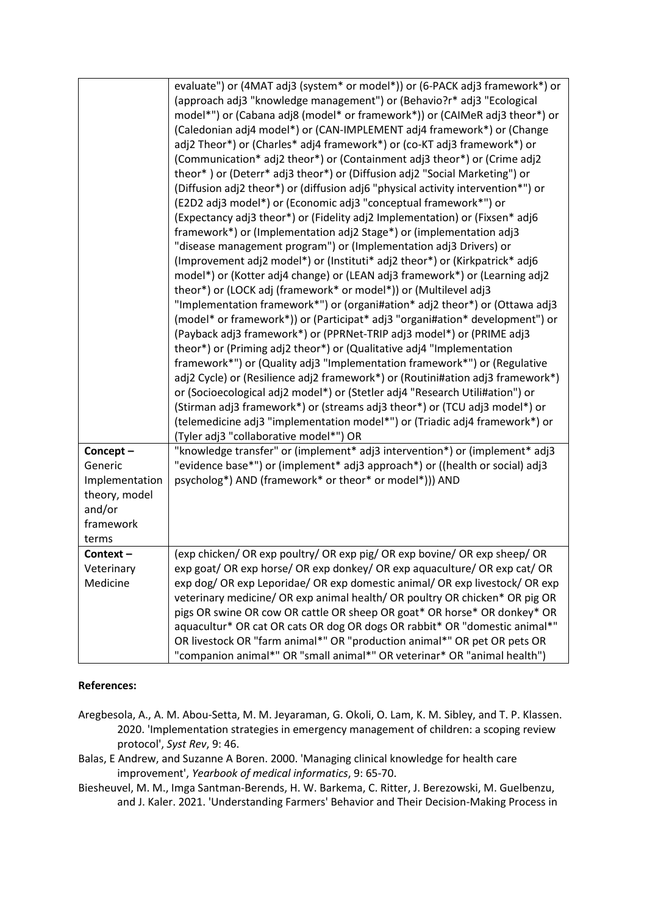| Concept-<br>Generic<br>Implementation<br>theory, model<br>and/or | evaluate") or (4MAT adj3 (system* or model*)) or (6-PACK adj3 framework*) or<br>(approach adj3 "knowledge management") or (Behavio?r* adj3 "Ecological<br>model*") or (Cabana adj8 (model* or framework*)) or (CAIMeR adj3 theor*) or<br>(Caledonian adj4 model*) or (CAN-IMPLEMENT adj4 framework*) or (Change<br>adj2 Theor*) or (Charles* adj4 framework*) or (co-KT adj3 framework*) or<br>(Communication* adj2 theor*) or (Containment adj3 theor*) or (Crime adj2<br>theor*) or (Deterr* adj3 theor*) or (Diffusion adj2 "Social Marketing") or<br>(Diffusion adj2 theor*) or (diffusion adj6 "physical activity intervention*") or<br>(E2D2 adj3 model*) or (Economic adj3 "conceptual framework*") or<br>(Expectancy adj3 theor*) or (Fidelity adj2 Implementation) or (Fixsen* adj6<br>framework*) or (Implementation adj2 Stage*) or (implementation adj3<br>"disease management program") or (Implementation adj3 Drivers) or<br>(Improvement adj2 model*) or (Instituti* adj2 theor*) or (Kirkpatrick* adj6<br>model*) or (Kotter adj4 change) or (LEAN adj3 framework*) or (Learning adj2<br>theor*) or (LOCK adj (framework* or model*)) or (Multilevel adj3<br>"Implementation framework*") or (organi#ation* adj2 theor*) or (Ottawa adj3<br>(model* or framework*)) or (Participat* adj3 "organi#ation* development") or<br>(Payback adj3 framework*) or (PPRNet-TRIP adj3 model*) or (PRIME adj3<br>theor*) or (Priming adj2 theor*) or (Qualitative adj4 "Implementation<br>framework*") or (Quality adj3 "Implementation framework*") or (Regulative<br>adj2 Cycle) or (Resilience adj2 framework*) or (Routini#ation adj3 framework*)<br>or (Socioecological adj2 model*) or (Stetler adj4 "Research Utili#ation") or<br>(Stirman adj3 framework*) or (streams adj3 theor*) or (TCU adj3 model*) or<br>(telemedicine adj3 "implementation model*") or (Triadic adj4 framework*) or<br>(Tyler adj3 "collaborative model*") OR<br>"knowledge transfer" or (implement* adj3 intervention*) or (implement* adj3<br>"evidence base*") or (implement* adj3 approach*) or ((health or social) adj3<br>psycholog*) AND (framework* or theor* or model*))) AND |
|------------------------------------------------------------------|----------------------------------------------------------------------------------------------------------------------------------------------------------------------------------------------------------------------------------------------------------------------------------------------------------------------------------------------------------------------------------------------------------------------------------------------------------------------------------------------------------------------------------------------------------------------------------------------------------------------------------------------------------------------------------------------------------------------------------------------------------------------------------------------------------------------------------------------------------------------------------------------------------------------------------------------------------------------------------------------------------------------------------------------------------------------------------------------------------------------------------------------------------------------------------------------------------------------------------------------------------------------------------------------------------------------------------------------------------------------------------------------------------------------------------------------------------------------------------------------------------------------------------------------------------------------------------------------------------------------------------------------------------------------------------------------------------------------------------------------------------------------------------------------------------------------------------------------------------------------------------------------------------------------------------------------------------------------------------------------------------------------------------------------------------------------------------------------------------------------------------------------------------------------------|
| framework<br>terms                                               |                                                                                                                                                                                                                                                                                                                                                                                                                                                                                                                                                                                                                                                                                                                                                                                                                                                                                                                                                                                                                                                                                                                                                                                                                                                                                                                                                                                                                                                                                                                                                                                                                                                                                                                                                                                                                                                                                                                                                                                                                                                                                                                                                                            |
| Context-                                                         | (exp chicken/ OR exp poultry/ OR exp pig/ OR exp bovine/ OR exp sheep/ OR                                                                                                                                                                                                                                                                                                                                                                                                                                                                                                                                                                                                                                                                                                                                                                                                                                                                                                                                                                                                                                                                                                                                                                                                                                                                                                                                                                                                                                                                                                                                                                                                                                                                                                                                                                                                                                                                                                                                                                                                                                                                                                  |
| Veterinary                                                       | exp goat/OR exp horse/OR exp donkey/OR exp aquaculture/OR exp cat/OR                                                                                                                                                                                                                                                                                                                                                                                                                                                                                                                                                                                                                                                                                                                                                                                                                                                                                                                                                                                                                                                                                                                                                                                                                                                                                                                                                                                                                                                                                                                                                                                                                                                                                                                                                                                                                                                                                                                                                                                                                                                                                                       |
| Medicine                                                         | exp dog/ OR exp Leporidae/ OR exp domestic animal/ OR exp livestock/ OR exp<br>veterinary medicine/ OR exp animal health/ OR poultry OR chicken* OR pig OR<br>pigs OR swine OR cow OR cattle OR sheep OR goat* OR horse* OR donkey* OR<br>aquacultur* OR cat OR cats OR dog OR dogs OR rabbit* OR "domestic animal*"<br>OR livestock OR "farm animal*" OR "production animal*" OR pet OR pets OR<br>"companion animal*" OR "small animal*" OR veterinar* OR "animal health")                                                                                                                                                                                                                                                                                                                                                                                                                                                                                                                                                                                                                                                                                                                                                                                                                                                                                                                                                                                                                                                                                                                                                                                                                                                                                                                                                                                                                                                                                                                                                                                                                                                                                               |

# **References:**

- Aregbesola, A., A. M. Abou-Setta, M. M. Jeyaraman, G. Okoli, O. Lam, K. M. Sibley, and T. P. Klassen. 2020. 'Implementation strategies in emergency management of children: a scoping review protocol', *Syst Rev*, 9: 46.
- Balas, E Andrew, and Suzanne A Boren. 2000. 'Managing clinical knowledge for health care improvement', *Yearbook of medical informatics*, 9: 65-70.
- Biesheuvel, M. M., Imga Santman-Berends, H. W. Barkema, C. Ritter, J. Berezowski, M. Guelbenzu, and J. Kaler. 2021. 'Understanding Farmers' Behavior and Their Decision-Making Process in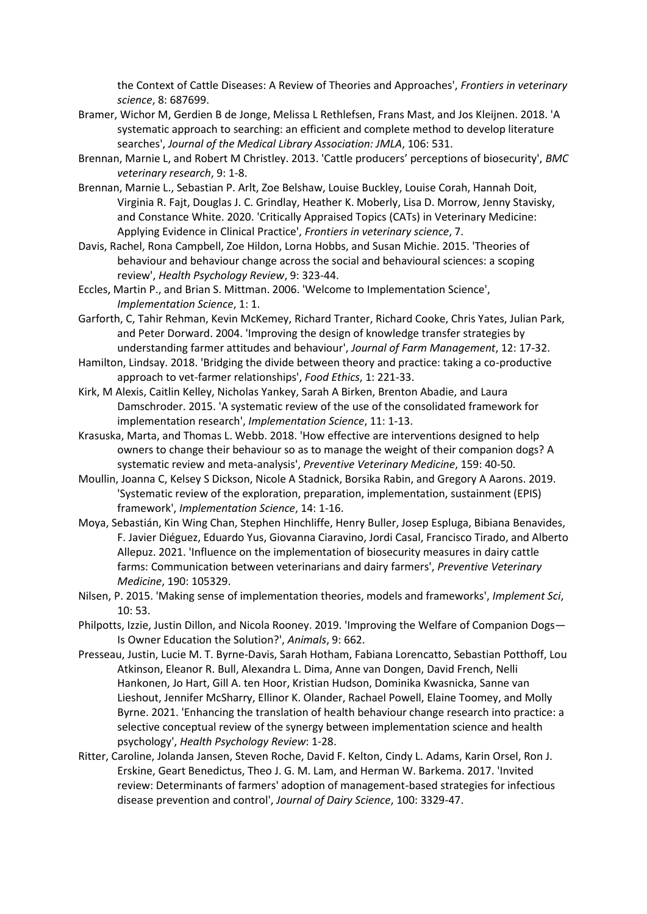the Context of Cattle Diseases: A Review of Theories and Approaches', *Frontiers in veterinary science*, 8: 687699.

- Bramer, Wichor M, Gerdien B de Jonge, Melissa L Rethlefsen, Frans Mast, and Jos Kleijnen. 2018. 'A systematic approach to searching: an efficient and complete method to develop literature searches', *Journal of the Medical Library Association: JMLA*, 106: 531.
- Brennan, Marnie L, and Robert M Christley. 2013. 'Cattle producers' perceptions of biosecurity', *BMC veterinary research*, 9: 1-8.
- Brennan, Marnie L., Sebastian P. Arlt, Zoe Belshaw, Louise Buckley, Louise Corah, Hannah Doit, Virginia R. Fajt, Douglas J. C. Grindlay, Heather K. Moberly, Lisa D. Morrow, Jenny Stavisky, and Constance White. 2020. 'Critically Appraised Topics (CATs) in Veterinary Medicine: Applying Evidence in Clinical Practice', *Frontiers in veterinary science*, 7.
- Davis, Rachel, Rona Campbell, Zoe Hildon, Lorna Hobbs, and Susan Michie. 2015. 'Theories of behaviour and behaviour change across the social and behavioural sciences: a scoping review', *Health Psychology Review*, 9: 323-44.
- Eccles, Martin P., and Brian S. Mittman. 2006. 'Welcome to Implementation Science', *Implementation Science*, 1: 1.
- Garforth, C, Tahir Rehman, Kevin McKemey, Richard Tranter, Richard Cooke, Chris Yates, Julian Park, and Peter Dorward. 2004. 'Improving the design of knowledge transfer strategies by understanding farmer attitudes and behaviour', *Journal of Farm Management*, 12: 17-32.
- Hamilton, Lindsay. 2018. 'Bridging the divide between theory and practice: taking a co-productive approach to vet-farmer relationships', *Food Ethics*, 1: 221-33.
- Kirk, M Alexis, Caitlin Kelley, Nicholas Yankey, Sarah A Birken, Brenton Abadie, and Laura Damschroder. 2015. 'A systematic review of the use of the consolidated framework for implementation research', *Implementation Science*, 11: 1-13.
- Krasuska, Marta, and Thomas L. Webb. 2018. 'How effective are interventions designed to help owners to change their behaviour so as to manage the weight of their companion dogs? A systematic review and meta-analysis', *Preventive Veterinary Medicine*, 159: 40-50.
- Moullin, Joanna C, Kelsey S Dickson, Nicole A Stadnick, Borsika Rabin, and Gregory A Aarons. 2019. 'Systematic review of the exploration, preparation, implementation, sustainment (EPIS) framework', *Implementation Science*, 14: 1-16.
- Moya, Sebastián, Kin Wing Chan, Stephen Hinchliffe, Henry Buller, Josep Espluga, Bibiana Benavides, F. Javier Diéguez, Eduardo Yus, Giovanna Ciaravino, Jordi Casal, Francisco Tirado, and Alberto Allepuz. 2021. 'Influence on the implementation of biosecurity measures in dairy cattle farms: Communication between veterinarians and dairy farmers', *Preventive Veterinary Medicine*, 190: 105329.
- Nilsen, P. 2015. 'Making sense of implementation theories, models and frameworks', *Implement Sci*, 10: 53.
- Philpotts, Izzie, Justin Dillon, and Nicola Rooney. 2019. 'Improving the Welfare of Companion Dogs— Is Owner Education the Solution?', *Animals*, 9: 662.
- Presseau, Justin, Lucie M. T. Byrne-Davis, Sarah Hotham, Fabiana Lorencatto, Sebastian Potthoff, Lou Atkinson, Eleanor R. Bull, Alexandra L. Dima, Anne van Dongen, David French, Nelli Hankonen, Jo Hart, Gill A. ten Hoor, Kristian Hudson, Dominika Kwasnicka, Sanne van Lieshout, Jennifer McSharry, Ellinor K. Olander, Rachael Powell, Elaine Toomey, and Molly Byrne. 2021. 'Enhancing the translation of health behaviour change research into practice: a selective conceptual review of the synergy between implementation science and health psychology', *Health Psychology Review*: 1-28.
- Ritter, Caroline, Jolanda Jansen, Steven Roche, David F. Kelton, Cindy L. Adams, Karin Orsel, Ron J. Erskine, Geart Benedictus, Theo J. G. M. Lam, and Herman W. Barkema. 2017. 'Invited review: Determinants of farmers' adoption of management-based strategies for infectious disease prevention and control', *Journal of Dairy Science*, 100: 3329-47.